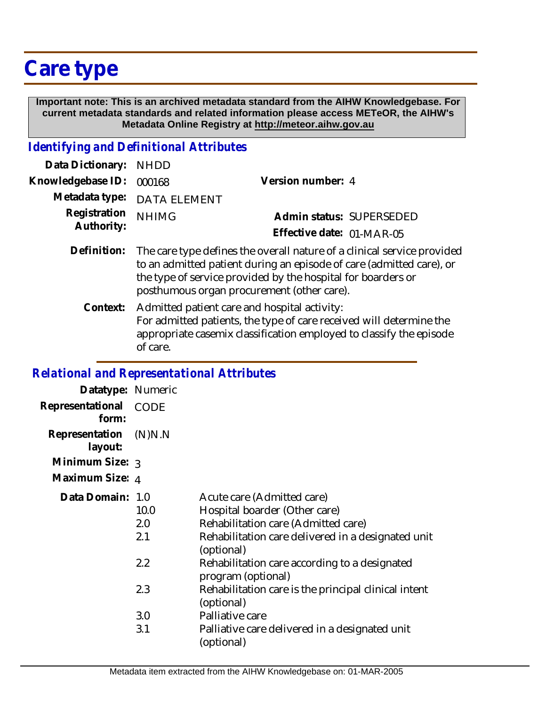# **Care type**

 **Important note: This is an archived metadata standard from the AIHW Knowledgebase. For current metadata standards and related information please access METeOR, the AIHW's Metadata Online Registry at http://meteor.aihw.gov.au**

### *Identifying and Definitional Attributes*

| Data Dictionary: NHDD      |                                                                                                                                                                                                                 |                                                       |  |
|----------------------------|-----------------------------------------------------------------------------------------------------------------------------------------------------------------------------------------------------------------|-------------------------------------------------------|--|
| Knowledgebase ID:          | 000168                                                                                                                                                                                                          | Version number: 4                                     |  |
|                            | Metadata type: DATA ELEMENT                                                                                                                                                                                     |                                                       |  |
| Registration<br>Authority: | <b>NHIMG</b>                                                                                                                                                                                                    | Admin status: SUPERSEDED<br>Effective date: 01-MAR-05 |  |
| Definition:                | The care type defines the overall nature of a clinical service provided<br>to an admitted patient during an episode of care (admitted care), or<br>the type of service provided by the hospital for boarders or |                                                       |  |

posthumous organ procurement (other care). Context: Admitted patient care and hospital activity: For admitted patients, the type of care received will determine the appropriate casemix classification employed to classify the episode of care.

### *Relational and Representational Attributes*

| Datatype: Numeric         |                    |                                                                                                                                                                        |
|---------------------------|--------------------|------------------------------------------------------------------------------------------------------------------------------------------------------------------------|
| Representational<br>form: | CODE               |                                                                                                                                                                        |
| Representation<br>layout: | (N)N.N             |                                                                                                                                                                        |
| Minimum Size: 3           |                    |                                                                                                                                                                        |
| Maximum Size: 4           |                    |                                                                                                                                                                        |
| Data Domain: 1.0          | 10.0<br>2.0<br>2.1 | Acute care (Admitted care)<br>Hospital boarder (Other care)<br>Rehabilitation care (Admitted care)<br>Rehabilitation care delivered in a designated unit<br>(optional) |
|                           | 2.2                | Rehabilitation care according to a designated<br>program (optional)                                                                                                    |
|                           | 2.3                | Rehabilitation care is the principal clinical intent<br>(optional)                                                                                                     |
|                           | 3.0<br>3.1         | Palliative care<br>Palliative care delivered in a designated unit                                                                                                      |
|                           |                    | (optional)                                                                                                                                                             |
|                           |                    |                                                                                                                                                                        |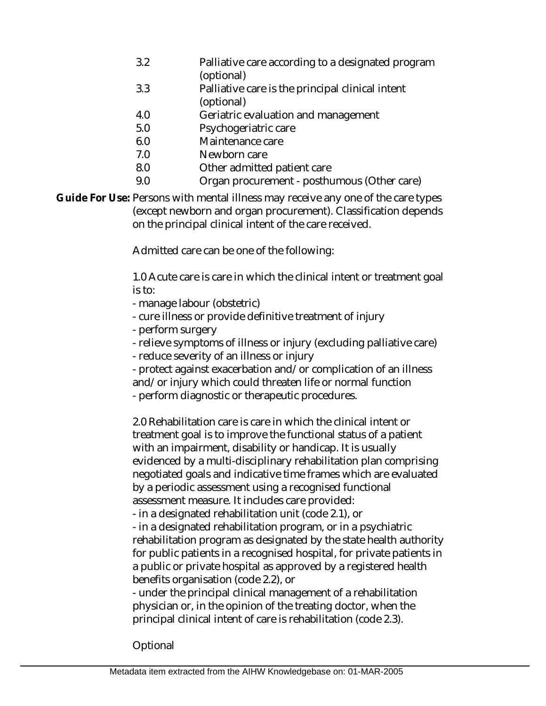- 3.2 Palliative care according to a designated program (optional)
- 3.3 Palliative care is the principal clinical intent (optional)
- 4.0 Geriatric evaluation and management
- 5.0 Psychogeriatric care
- 6.0 Maintenance care
- 7.0 Newborn care
- 8.0 Other admitted patient care
- 9.0 Organ procurement - posthumous (Other care)

Guide For Use: Persons with mental illness may receive any one of the care types (except newborn and organ procurement). Classification depends on the principal clinical intent of the care received.

Admitted care can be one of the following:

1.0 Acute care is care in which the clinical intent or treatment goal is to:

- manage labour (obstetric)
- cure illness or provide definitive treatment of injury
- perform surgery
- relieve symptoms of illness or injury (excluding palliative care)
- reduce severity of an illness or injury
- protect against exacerbation and/or complication of an illness and/or injury which could threaten life or normal function
- perform diagnostic or therapeutic procedures.

2.0 Rehabilitation care is care in which the clinical intent or treatment goal is to improve the functional status of a patient with an impairment, disability or handicap. It is usually evidenced by a multi-disciplinary rehabilitation plan comprising negotiated goals and indicative time frames which are evaluated by a periodic assessment using a recognised functional assessment measure. It includes care provided:

- in a designated rehabilitation unit (code 2.1), or

- in a designated rehabilitation program, or in a psychiatric rehabilitation program as designated by the state health authority for public patients in a recognised hospital, for private patients in a public or private hospital as approved by a registered health benefits organisation (code 2.2), or

- under the principal clinical management of a rehabilitation physician or, in the opinion of the treating doctor, when the principal clinical intent of care is rehabilitation (code 2.3).

Optional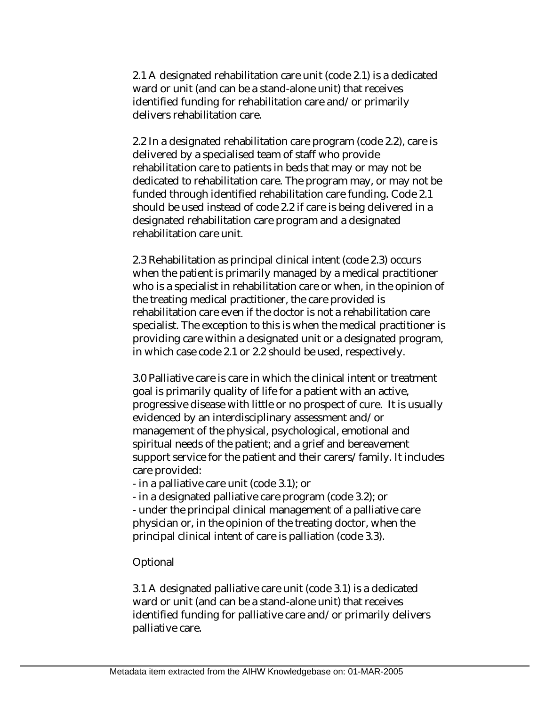2.1 A designated rehabilitation care unit (code 2.1) is a dedicated ward or unit (and can be a stand-alone unit) that receives identified funding for rehabilitation care and/or primarily delivers rehabilitation care.

2.2 In a designated rehabilitation care program (code 2.2), care is delivered by a specialised team of staff who provide rehabilitation care to patients in beds that may or may not be dedicated to rehabilitation care. The program may, or may not be funded through identified rehabilitation care funding. Code 2.1 should be used instead of code 2.2 if care is being delivered in a designated rehabilitation care program and a designated rehabilitation care unit.

2.3 Rehabilitation as principal clinical intent (code 2.3) occurs when the patient is primarily managed by a medical practitioner who is a specialist in rehabilitation care or when, in the opinion of the treating medical practitioner, the care provided is rehabilitation care even if the doctor is not a rehabilitation care specialist. The exception to this is when the medical practitioner is providing care within a designated unit or a designated program, in which case code 2.1 or 2.2 should be used, respectively.

3.0 Palliative care is care in which the clinical intent or treatment goal is primarily quality of life for a patient with an active, progressive disease with little or no prospect of cure. It is usually evidenced by an interdisciplinary assessment and/or management of the physical, psychological, emotional and spiritual needs of the patient; and a grief and bereavement support service for the patient and their carers/family. It includes care provided:

- in a palliative care unit (code 3.1); or

- in a designated palliative care program (code 3.2); or

- under the principal clinical management of a palliative care physician or, in the opinion of the treating doctor, when the principal clinical intent of care is palliation (code 3.3).

Optional

3.1 A designated palliative care unit (code 3.1) is a dedicated ward or unit (and can be a stand-alone unit) that receives identified funding for palliative care and/or primarily delivers palliative care.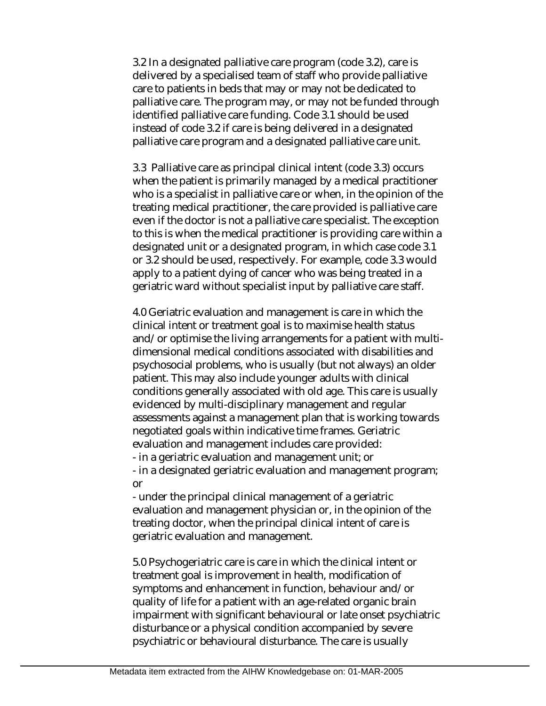3.2 In a designated palliative care program (code 3.2), care is delivered by a specialised team of staff who provide palliative care to patients in beds that may or may not be dedicated to palliative care. The program may, or may not be funded through identified palliative care funding. Code 3.1 should be used instead of code 3.2 if care is being delivered in a designated palliative care program and a designated palliative care unit.

3.3 Palliative care as principal clinical intent (code 3.3) occurs when the patient is primarily managed by a medical practitioner who is a specialist in palliative care or when, in the opinion of the treating medical practitioner, the care provided is palliative care even if the doctor is not a palliative care specialist. The exception to this is when the medical practitioner is providing care within a designated unit or a designated program, in which case code 3.1 or 3.2 should be used, respectively. For example, code 3.3 would apply to a patient dying of cancer who was being treated in a geriatric ward without specialist input by palliative care staff.

4.0 Geriatric evaluation and management is care in which the clinical intent or treatment goal is to maximise health status and/or optimise the living arrangements for a patient with multidimensional medical conditions associated with disabilities and psychosocial problems, who is usually (but not always) an older patient. This may also include younger adults with clinical conditions generally associated with old age. This care is usually evidenced by multi-disciplinary management and regular assessments against a management plan that is working towards negotiated goals within indicative time frames. Geriatric evaluation and management includes care provided:

- in a geriatric evaluation and management unit; or

- in a designated geriatric evaluation and management program; or

- under the principal clinical management of a geriatric evaluation and management physician or, in the opinion of the treating doctor, when the principal clinical intent of care is geriatric evaluation and management.

5.0 Psychogeriatric care is care in which the clinical intent or treatment goal is improvement in health, modification of symptoms and enhancement in function, behaviour and/or quality of life for a patient with an age-related organic brain impairment with significant behavioural or late onset psychiatric disturbance or a physical condition accompanied by severe psychiatric or behavioural disturbance. The care is usually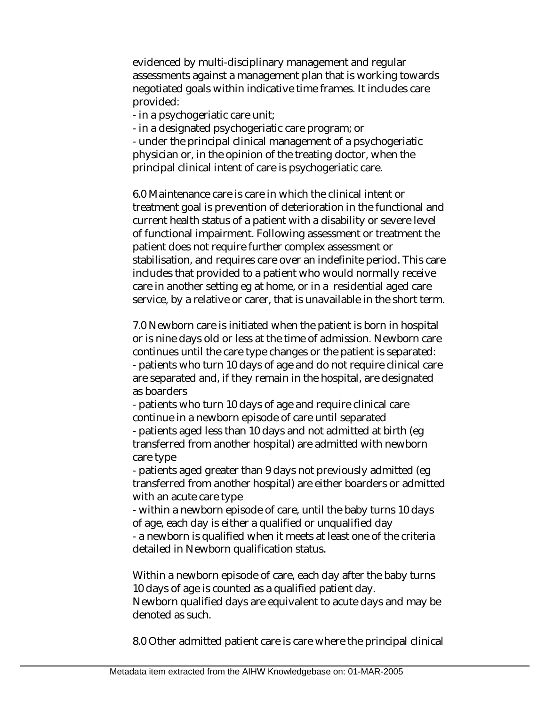evidenced by multi-disciplinary management and regular assessments against a management plan that is working towards negotiated goals within indicative time frames. It includes care provided:

- in a psychogeriatic care unit;

- in a designated psychogeriatic care program; or

- under the principal clinical management of a psychogeriatic physician or, in the opinion of the treating doctor, when the principal clinical intent of care is psychogeriatic care.

6.0 Maintenance care is care in which the clinical intent or treatment goal is prevention of deterioration in the functional and current health status of a patient with a disability or severe level of functional impairment. Following assessment or treatment the patient does not require further complex assessment or stabilisation, and requires care over an indefinite period. This care includes that provided to a patient who would normally receive care in another setting eg at home, or in a residential aged care service, by a relative or carer, that is unavailable in the short term.

7.0 Newborn care is initiated when the patient is born in hospital or is nine days old or less at the time of admission. Newborn care continues until the care type changes or the patient is separated: - patients who turn 10 days of age and do not require clinical care are separated and, if they remain in the hospital, are designated as boarders

- patients who turn 10 days of age and require clinical care continue in a newborn episode of care until separated

- patients aged less than 10 days and not admitted at birth (eg transferred from another hospital) are admitted with newborn care type

- patients aged greater than 9 days not previously admitted (eg transferred from another hospital) are either boarders or admitted with an acute care type

- within a newborn episode of care, until the baby turns 10 days of age, each day is either a qualified or unqualified day

- a newborn is qualified when it meets at least one of the criteria detailed in Newborn qualification status.

Within a newborn episode of care, each day after the baby turns 10 days of age is counted as a qualified patient day. Newborn qualified days are equivalent to acute days and may be

denoted as such.

8.0 Other admitted patient care is care where the principal clinical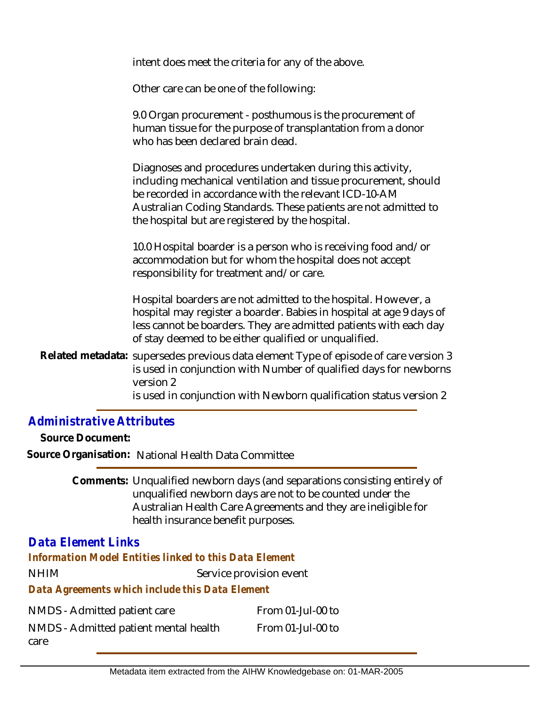intent does meet the criteria for any of the above.

Other care can be one of the following:

9.0 Organ procurement - posthumous is the procurement of human tissue for the purpose of transplantation from a donor who has been declared brain dead.

Diagnoses and procedures undertaken during this activity, including mechanical ventilation and tissue procurement, should be recorded in accordance with the relevant ICD-10-AM Australian Coding Standards. These patients are not admitted to the hospital but are registered by the hospital.

10.0 Hospital boarder is a person who is receiving food and/or accommodation but for whom the hospital does not accept responsibility for treatment and/or care.

Hospital boarders are not admitted to the hospital. However, a hospital may register a boarder. Babies in hospital at age 9 days of less cannot be boarders. They are admitted patients with each day of stay deemed to be either qualified or unqualified.

Related metadata: supersedes previous data element Type of episode of care version 3 is used in conjunction with Number of qualified days for newborns version 2 is used in conjunction with Newborn qualification status version 2

### *Administrative Attributes*

**Source Document:**

**Source Organisation:** National Health Data Committee

Comments: Unqualified newborn days (and separations consisting entirely of unqualified newborn days are not to be counted under the Australian Health Care Agreements and they are ineligible for health insurance benefit purposes.

## *Data Element Links*

*Information Model Entities linked to this Data Element*

NHIM Service provision event

#### *Data Agreements which include this Data Element*

| NMDS - Admitted patient care          | From 01-Jul-00 to |
|---------------------------------------|-------------------|
| NMDS - Admitted patient mental health | From 01-Jul-00 to |
| care                                  |                   |